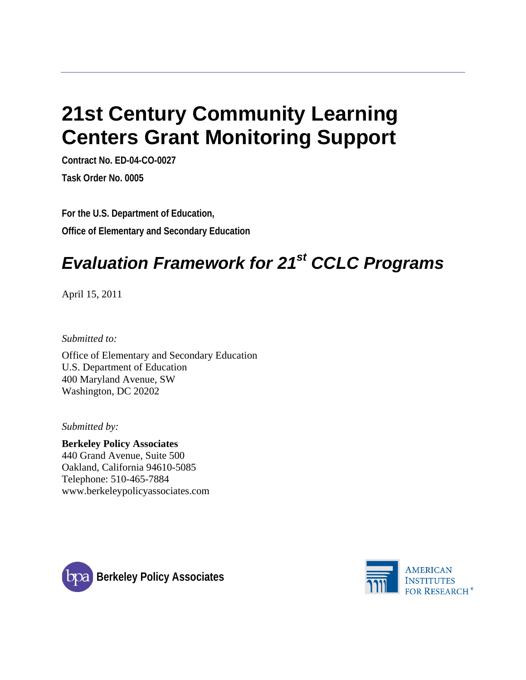# **21st Century Community Learning Centers Grant Monitoring Support**

**Contract No. ED-04-CO-0027 Task Order No. 0005**

**For the U.S. Department of Education, Office of Elementary and Secondary Education**

## *Evaluation Framework for 21st CCLC Programs*

April 15, 2011

*Submitted to:*

Office of Elementary and Secondary Education U.S. Department of Education 400 Maryland Avenue, SW Washington, DC 20202

*Submitted by:*

**Berkeley Policy Associates** 440 Grand Avenue, Suite 500 Oakland, California 94610-5085 Telephone: 510-465-7884 www.berkeleypolicyassociates.com



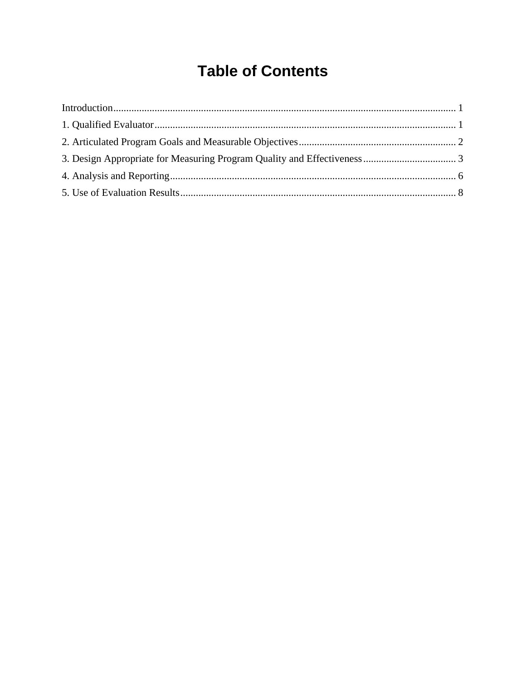## **Table of Contents**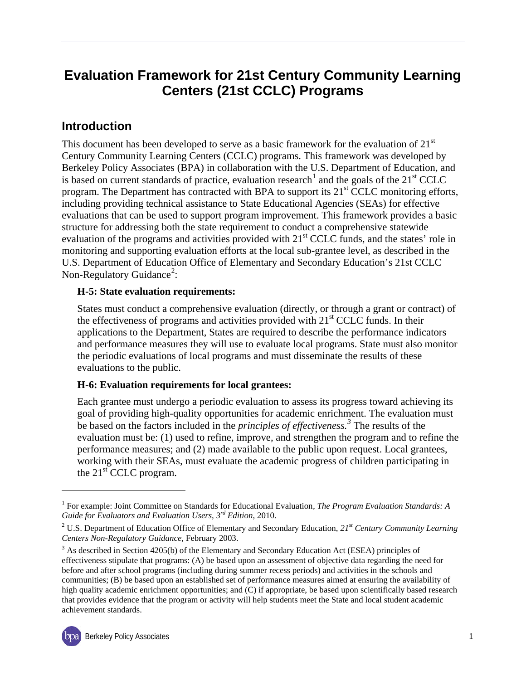## **Evaluation Framework for 21st Century Community Learning Centers (21st CCLC) Programs**

### <span id="page-2-0"></span>**Introduction**

This document has been developed to serve as a basic framework for the evaluation of  $21<sup>st</sup>$ Century Community Learning Centers (CCLC) programs. This framework was developed by Berkeley Policy Associates (BPA) in collaboration with the U.S. Department of Education, and is based on current standards of practice, evaluation research<sup>[1](#page-2-1)</sup> and the goals of the  $21<sup>st</sup> CCLC$ program. The Department has contracted with BPA to support its  $21<sup>st</sup>$  CCLC monitoring efforts, including providing technical assistance to State Educational Agencies (SEAs) for effective evaluations that can be used to support program improvement. This framework provides a basic structure for addressing both the state requirement to conduct a comprehensive statewide evaluation of the programs and activities provided with 21<sup>st</sup> CCLC funds, and the states' role in monitoring and supporting evaluation efforts at the local sub-grantee level, as described in the U.S. Department of Education Office of Elementary and Secondary Education's 21st CCLC Non-Regulatory Guidance<sup>[2](#page-2-2)</sup>:

#### **H-5: State evaluation requirements:**

States must conduct a comprehensive evaluation (directly, or through a grant or contract) of the effectiveness of programs and activities provided with  $21<sup>st</sup> CCLC$  funds. In their applications to the Department, States are required to describe the performance indicators and performance measures they will use to evaluate local programs. State must also monitor the periodic evaluations of local programs and must disseminate the results of these evaluations to the public.

#### **H-6: Evaluation requirements for local grantees:**

Each grantee must undergo a periodic evaluation to assess its progress toward achieving its goal of providing high-quality opportunities for academic enrichment. The evaluation must be based on the factors included in the *principles of effectiveness.[3](#page-2-3)* The results of the evaluation must be: (1) used to refine, improve, and strengthen the program and to refine the performance measures; and (2) made available to the public upon request. Local grantees, working with their SEAs, must evaluate the academic progress of children participating in the  $21<sup>st</sup>$  CCLC program.

<span id="page-2-3"></span><sup>&</sup>lt;sup>3</sup> As described in Section 4205(b) of the Elementary and Secondary Education Act (ESEA) principles of effectiveness stipulate that programs: (A) be based upon an assessment of objective data regarding the need for before and after school programs (including during summer recess periods) and activities in the schools and communities; (B) be based upon an established set of performance measures aimed at ensuring the availability of high quality academic enrichment opportunities; and (C) if appropriate, be based upon scientifically based research that provides evidence that the program or activity will help students meet the State and local student academic achievement standards.



 $\overline{a}$ 

<span id="page-2-1"></span><sup>1</sup> For example: Joint Committee on Standards for Educational Evaluation*, The Program Evaluation Standards: A Guide for Evaluators and Evaluation Users, 3rd Edition*, 2010.

<span id="page-2-2"></span><sup>2</sup> U.S. Department of Education Office of Elementary and Secondary Education, *21st Century Community Learning Centers Non-Regulatory Guidance*, February 2003.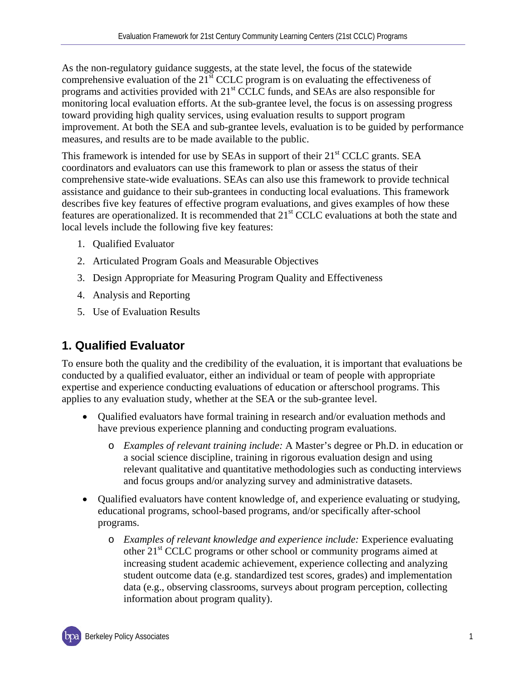As the non-regulatory guidance suggests, at the state level, the focus of the statewide comprehensive evaluation of the  $21<sup>st</sup> CCLC$  program is on evaluating the effectiveness of programs and activities provided with 21<sup>st</sup> CCLC funds, and SEAs are also responsible for monitoring local evaluation efforts. At the sub-grantee level, the focus is on assessing progress toward providing high quality services, using evaluation results to support program improvement. At both the SEA and sub-grantee levels, evaluation is to be guided by performance measures, and results are to be made available to the public.

This framework is intended for use by SEAs in support of their 21<sup>st</sup> CCLC grants. SEA coordinators and evaluators can use this framework to plan or assess the status of their comprehensive state-wide evaluations. SEAs can also use this framework to provide technical assistance and guidance to their sub-grantees in conducting local evaluations. This framework describes five key features of effective program evaluations, and gives examples of how these features are operationalized. It is recommended that 21<sup>st</sup> CCLC evaluations at both the state and local levels include the following five key features:

- 1. Qualified Evaluator
- 2. Articulated Program Goals and Measurable Objectives
- 3. Design Appropriate for Measuring Program Quality and Effectiveness
- 4. Analysis and Reporting
- 5. Use of Evaluation Results

## <span id="page-3-0"></span>**1. Qualified Evaluator**

To ensure both the quality and the credibility of the evaluation, it is important that evaluations be conducted by a qualified evaluator, either an individual or team of people with appropriate expertise and experience conducting evaluations of education or afterschool programs. This applies to any evaluation study, whether at the SEA or the sub-grantee level.

- Qualified evaluators have formal training in research and/or evaluation methods and have previous experience planning and conducting program evaluations.
	- o *Examples of relevant training include:* A Master's degree or Ph.D. in education or a social science discipline, training in rigorous evaluation design and using relevant qualitative and quantitative methodologies such as conducting interviews and focus groups and/or analyzing survey and administrative datasets.
- Qualified evaluators have content knowledge of, and experience evaluating or studying, educational programs, school-based programs, and/or specifically after-school programs.
	- o *Examples of relevant knowledge and experience include:* Experience evaluating other 21st CCLC programs or other school or community programs aimed at increasing student academic achievement, experience collecting and analyzing student outcome data (e.g. standardized test scores, grades) and implementation data (e.g., observing classrooms, surveys about program perception, collecting information about program quality).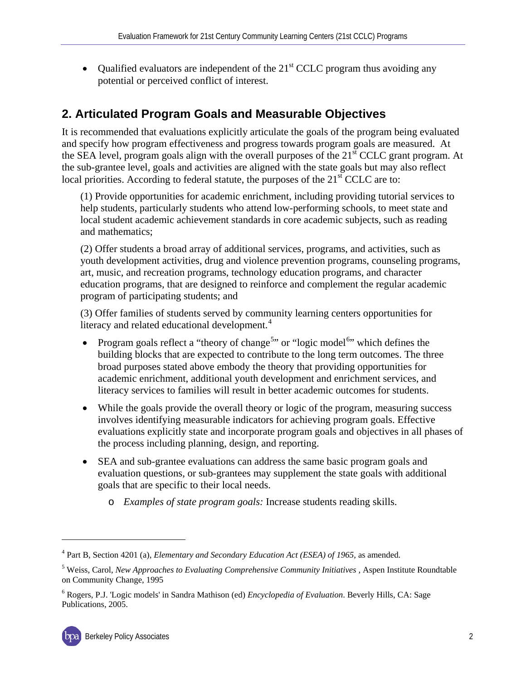• Qualified evaluators are independent of the  $21<sup>st</sup> CCLC$  program thus avoiding any potential or perceived conflict of interest.

## <span id="page-4-0"></span>**2. Articulated Program Goals and Measurable Objectives**

It is recommended that evaluations explicitly articulate the goals of the program being evaluated and specify how program effectiveness and progress towards program goals are measured. At the SEA level, program goals align with the overall purposes of the  $21<sup>st</sup>$  CCLC grant program. At the sub-grantee level, goals and activities are aligned with the state goals but may also reflect local priorities. According to federal statute, the purposes of the  $21<sup>st</sup> CCLC$  are to:

(1) Provide opportunities for academic enrichment, including providing tutorial services to help students, particularly students who attend low-performing schools, to meet state and local student academic achievement standards in core academic subjects, such as reading and mathematics;

(2) Offer students a broad array of additional services, programs, and activities, such as youth development activities, drug and violence prevention programs, counseling programs, art, music, and recreation programs, technology education programs, and character education programs, that are designed to reinforce and complement the regular academic program of participating students; and

(3) Offer families of students served by community learning centers opportunities for literacy and related educational development.<sup>[4](#page-4-1)</sup>

- Program goals reflect a "theory of change<sup>[5](#page-4-2)</sup>" or "logic model<sup>[6](#page-4-3)</sup>" which defines the building blocks that are expected to contribute to the long term outcomes. The three broad purposes stated above embody the theory that providing opportunities for academic enrichment, additional youth development and enrichment services, and literacy services to families will result in better academic outcomes for students.
- While the goals provide the overall theory or logic of the program, measuring success involves identifying measurable indicators for achieving program goals. Effective evaluations explicitly state and incorporate program goals and objectives in all phases of the process including planning, design, and reporting.
- SEA and sub-grantee evaluations can address the same basic program goals and evaluation questions, or sub-grantees may supplement the state goals with additional goals that are specific to their local needs.
	- o *Examples of state program goals:* Increase students reading skills.

 $\overline{a}$ 

<span id="page-4-1"></span><sup>4</sup> Part B, Section 4201 (a), *Elementary and Secondary Education Act (ESEA) of 1965,* as amended.

<span id="page-4-2"></span><sup>5</sup> Weiss, Carol, *New Approaches to Evaluating Comprehensive Community Initiatives* , Aspen Institute Roundtable on Community Change, 1995

<span id="page-4-3"></span><sup>6</sup> Rogers, P.J. 'Logic models' in Sandra Mathison (ed) *Encyclopedia of Evaluation*. Beverly Hills, CA: Sage Publications, 2005.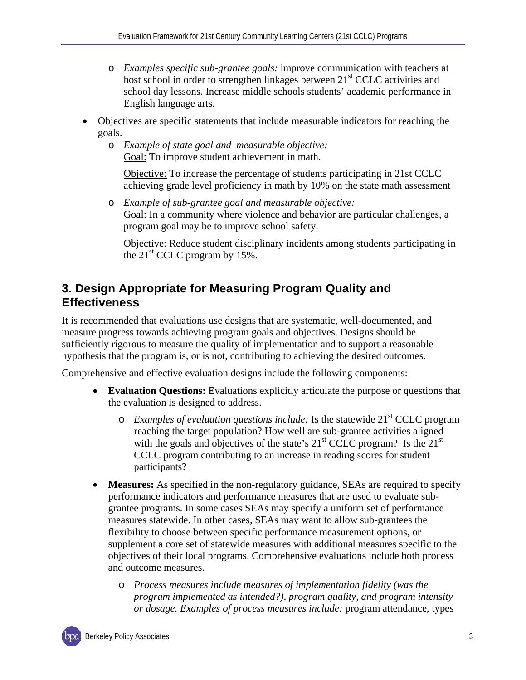- o *Examples specific sub-grantee goals:* improve communication with teachers at host school in order to strengthen linkages between  $21<sup>st</sup>$  CCLC activities and school day lessons. Increase middle schools students' academic performance in English language arts.
- Objectives are specific statements that include measurable indicators for reaching the goals.
	- o *Example of state goal and measurable objective:*  Goal: To improve student achievement in math.

Objective: To increase the percentage of students participating in 21st CCLC achieving grade level proficiency in math by 10% on the state math assessment

o *Example of sub-grantee goal and measurable objective:* Goal: In a community where violence and behavior are particular challenges, a program goal may be to improve school safety.

Objective: Reduce student disciplinary incidents among students participating in the  $21<sup>st</sup>$  CCLC program by 15%.

### <span id="page-5-0"></span>**3. Design Appropriate for Measuring Program Quality and Effectiveness**

It is recommended that evaluations use designs that are systematic, well-documented, and measure progress towards achieving program goals and objectives. Designs should be sufficiently rigorous to measure the quality of implementation and to support a reasonable hypothesis that the program is, or is not, contributing to achieving the desired outcomes.

Comprehensive and effective evaluation designs include the following components:

- **Evaluation Questions:** Evaluations explicitly articulate the purpose or questions that the evaluation is designed to address.
	- o *Examples of evaluation questions include:* Is the statewide 21st CCLC program reaching the target population? How well are sub-grantee activities aligned with the goals and objectives of the state's  $21<sup>st</sup>$  CCLC program? Is the  $21<sup>st</sup>$ CCLC program contributing to an increase in reading scores for student participants?
- **Measures:** As specified in the non-regulatory guidance, SEAs are required to specify performance indicators and performance measures that are used to evaluate subgrantee programs. In some cases SEAs may specify a uniform set of performance measures statewide. In other cases, SEAs may want to allow sub-grantees the flexibility to choose between specific performance measurement options, or supplement a core set of statewide measures with additional measures specific to the objectives of their local programs. Comprehensive evaluations include both process and outcome measures.
	- o *Process measures include measures of implementation fidelity (was the program implemented as intended?), program quality, and program intensity or dosage. Examples of process measures include:* program attendance, types

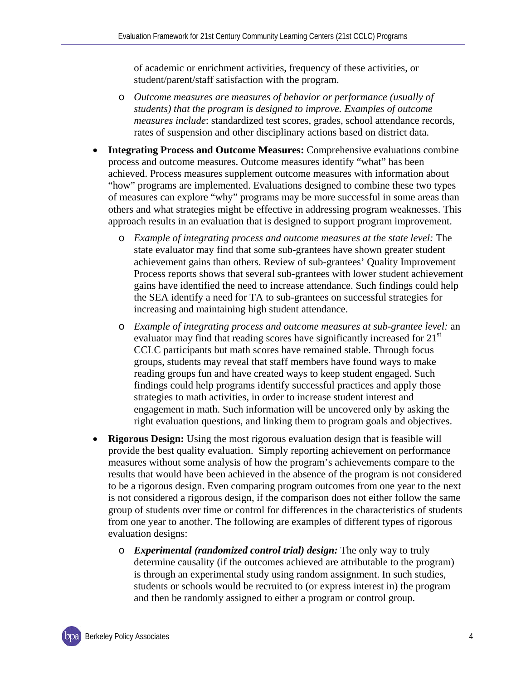of academic or enrichment activities, frequency of these activities, or student/parent/staff satisfaction with the program.

- o *Outcome measures are measures of behavior or performance (usually of students) that the program is designed to improve. Examples of outcome measures include*: standardized test scores, grades, school attendance records, rates of suspension and other disciplinary actions based on district data.
- **Integrating Process and Outcome Measures:** Comprehensive evaluations combine process and outcome measures. Outcome measures identify "what" has been achieved. Process measures supplement outcome measures with information about "how" programs are implemented. Evaluations designed to combine these two types of measures can explore "why" programs may be more successful in some areas than others and what strategies might be effective in addressing program weaknesses. This approach results in an evaluation that is designed to support program improvement.
	- o *Example of integrating process and outcome measures at the state level:* The state evaluator may find that some sub-grantees have shown greater student achievement gains than others. Review of sub-grantees' Quality Improvement Process reports shows that several sub-grantees with lower student achievement gains have identified the need to increase attendance. Such findings could help the SEA identify a need for TA to sub-grantees on successful strategies for increasing and maintaining high student attendance.
	- o *Example of integrating process and outcome measures at sub-grantee level:* an evaluator may find that reading scores have significantly increased for 21<sup>st</sup> CCLC participants but math scores have remained stable. Through focus groups, students may reveal that staff members have found ways to make reading groups fun and have created ways to keep student engaged. Such findings could help programs identify successful practices and apply those strategies to math activities, in order to increase student interest and engagement in math. Such information will be uncovered only by asking the right evaluation questions, and linking them to program goals and objectives.
- **Rigorous Design:** Using the most rigorous evaluation design that is feasible will provide the best quality evaluation. Simply reporting achievement on performance measures without some analysis of how the program's achievements compare to the results that would have been achieved in the absence of the program is not considered to be a rigorous design. Even comparing program outcomes from one year to the next is not considered a rigorous design, if the comparison does not either follow the same group of students over time or control for differences in the characteristics of students from one year to another. The following are examples of different types of rigorous evaluation designs:
	- o *Experimental (randomized control trial) design:* The only way to truly determine causality (if the outcomes achieved are attributable to the program) is through an experimental study using random assignment. In such studies, students or schools would be recruited to (or express interest in) the program and then be randomly assigned to either a program or control group.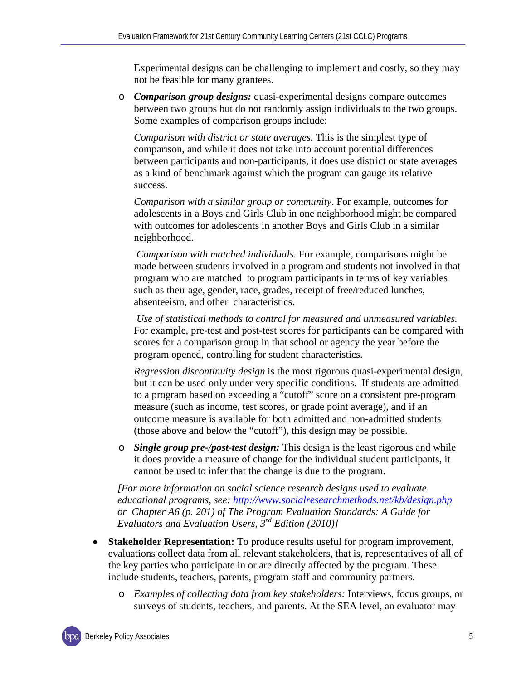Experimental designs can be challenging to implement and costly, so they may not be feasible for many grantees.

o *Comparison group designs:* quasi-experimental designs compare outcomes between two groups but do not randomly assign individuals to the two groups. Some examples of comparison groups include:

*Comparison with district or state averages.* This is the simplest type of comparison, and while it does not take into account potential differences between participants and non-participants, it does use district or state averages as a kind of benchmark against which the program can gauge its relative success.

*Comparison with a similar group or community*. For example, outcomes for adolescents in a Boys and Girls Club in one neighborhood might be compared with outcomes for adolescents in another Boys and Girls Club in a similar neighborhood.

*Comparison with matched individuals.* For example, comparisons might be made between students involved in a program and students not involved in that program who are matched to program participants in terms of key variables such as their age, gender, race, grades, receipt of free/reduced lunches, absenteeism, and other characteristics.

*Use of statistical methods to control for measured and unmeasured variables.* For example, pre-test and post-test scores for participants can be compared with scores for a comparison group in that school or agency the year before the program opened, controlling for student characteristics.

*Regression discontinuity design* is the most rigorous quasi-experimental design, but it can be used only under very specific conditions. If students are admitted to a program based on exceeding a "cutoff" score on a consistent pre-program measure (such as income, test scores, or grade point average), and if an outcome measure is available for both admitted and non-admitted students (those above and below the "cutoff"), this design may be possible.

o *Single group pre-/post-test design:* This design is the least rigorous and while it does provide a measure of change for the individual student participants, it cannot be used to infer that the change is due to the program.

*[For more information on social science research designs used to evaluate educational programs, see:<http://www.socialresearchmethods.net/kb/design.php> or Chapter A6 (p. 201) of The Program Evaluation Standards: A Guide for Evaluators and Evaluation Users, 3rd Edition (2010)]*

- **Stakeholder Representation:** To produce results useful for program improvement, evaluations collect data from all relevant stakeholders, that is, representatives of all of the key parties who participate in or are directly affected by the program. These include students, teachers, parents, program staff and community partners.
	- o *Examples of collecting data from key stakeholders:* Interviews, focus groups, or surveys of students, teachers, and parents. At the SEA level, an evaluator may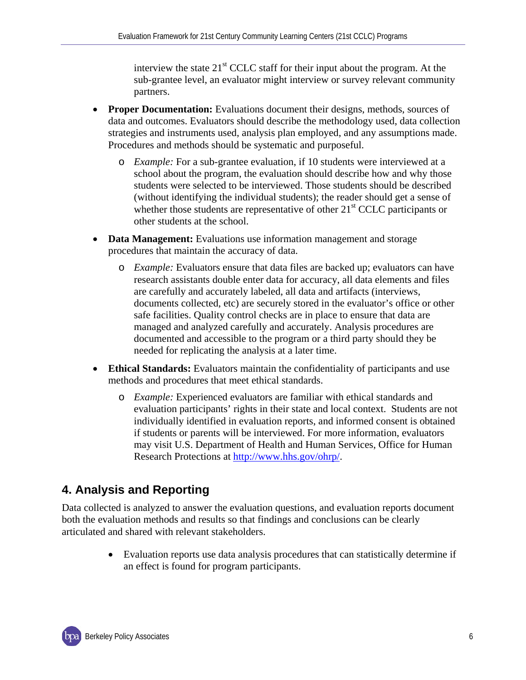interview the state  $21<sup>st</sup> CCLC$  staff for their input about the program. At the sub-grantee level, an evaluator might interview or survey relevant community partners.

- **Proper Documentation:** Evaluations document their designs, methods, sources of data and outcomes. Evaluators should describe the methodology used, data collection strategies and instruments used, analysis plan employed, and any assumptions made. Procedures and methods should be systematic and purposeful.
	- o *Example:* For a sub-grantee evaluation, if 10 students were interviewed at a school about the program, the evaluation should describe how and why those students were selected to be interviewed. Those students should be described (without identifying the individual students); the reader should get a sense of whether those students are representative of other  $21<sup>st</sup> CCLC$  participants or other students at the school.
- **Data Management:** Evaluations use information management and storage procedures that maintain the accuracy of data.
	- o *Example:* Evaluators ensure that data files are backed up; evaluators can have research assistants double enter data for accuracy, all data elements and files are carefully and accurately labeled, all data and artifacts (interviews, documents collected, etc) are securely stored in the evaluator's office or other safe facilities. Quality control checks are in place to ensure that data are managed and analyzed carefully and accurately. Analysis procedures are documented and accessible to the program or a third party should they be needed for replicating the analysis at a later time.
- **Ethical Standards:** Evaluators maintain the confidentiality of participants and use methods and procedures that meet ethical standards.
	- o *Example:* Experienced evaluators are familiar with ethical standards and evaluation participants' rights in their state and local context. Students are not individually identified in evaluation reports, and informed consent is obtained if students or parents will be interviewed. For more information, evaluators may visit U.S. Department of Health and Human Services, Office for Human Research Protections at [http://www.hhs.gov/ohrp/.](http://www.hhs.gov/ohrp/)

## <span id="page-8-0"></span>**4. Analysis and Reporting**

Data collected is analyzed to answer the evaluation questions, and evaluation reports document both the evaluation methods and results so that findings and conclusions can be clearly articulated and shared with relevant stakeholders.

> • Evaluation reports use data analysis procedures that can statistically determine if an effect is found for program participants.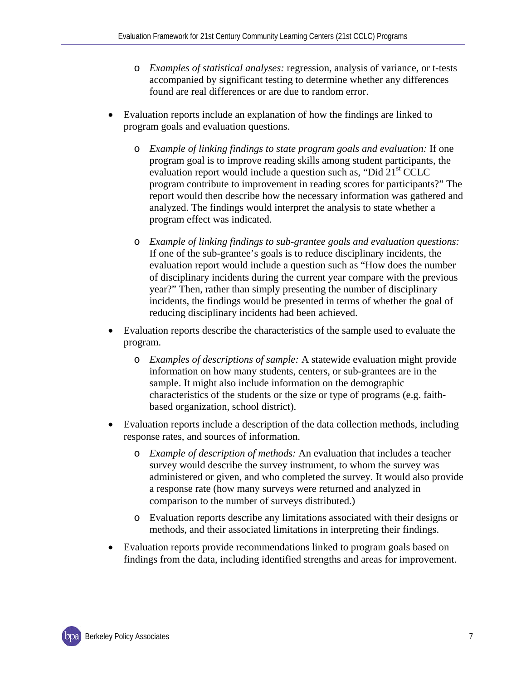- o *Examples of statistical analyses:* regression, analysis of variance, or t-tests accompanied by significant testing to determine whether any differences found are real differences or are due to random error.
- Evaluation reports include an explanation of how the findings are linked to program goals and evaluation questions.
	- o *Example of linking findings to state program goals and evaluation:* If one program goal is to improve reading skills among student participants, the evaluation report would include a question such as, "Did 21<sup>st</sup> CCLC program contribute to improvement in reading scores for participants?" The report would then describe how the necessary information was gathered and analyzed. The findings would interpret the analysis to state whether a program effect was indicated.
	- o *Example of linking findings to sub-grantee goals and evaluation questions:*  If one of the sub-grantee's goals is to reduce disciplinary incidents, the evaluation report would include a question such as "How does the number of disciplinary incidents during the current year compare with the previous year?" Then, rather than simply presenting the number of disciplinary incidents, the findings would be presented in terms of whether the goal of reducing disciplinary incidents had been achieved.
- Evaluation reports describe the characteristics of the sample used to evaluate the program.
	- o *Examples of descriptions of sample:* A statewide evaluation might provide information on how many students, centers, or sub-grantees are in the sample. It might also include information on the demographic characteristics of the students or the size or type of programs (e.g. faithbased organization, school district).
- Evaluation reports include a description of the data collection methods, including response rates, and sources of information.
	- o *Example of description of methods:* An evaluation that includes a teacher survey would describe the survey instrument, to whom the survey was administered or given, and who completed the survey. It would also provide a response rate (how many surveys were returned and analyzed in comparison to the number of surveys distributed.)
	- o Evaluation reports describe any limitations associated with their designs or methods, and their associated limitations in interpreting their findings.
- Evaluation reports provide recommendations linked to program goals based on findings from the data, including identified strengths and areas for improvement.